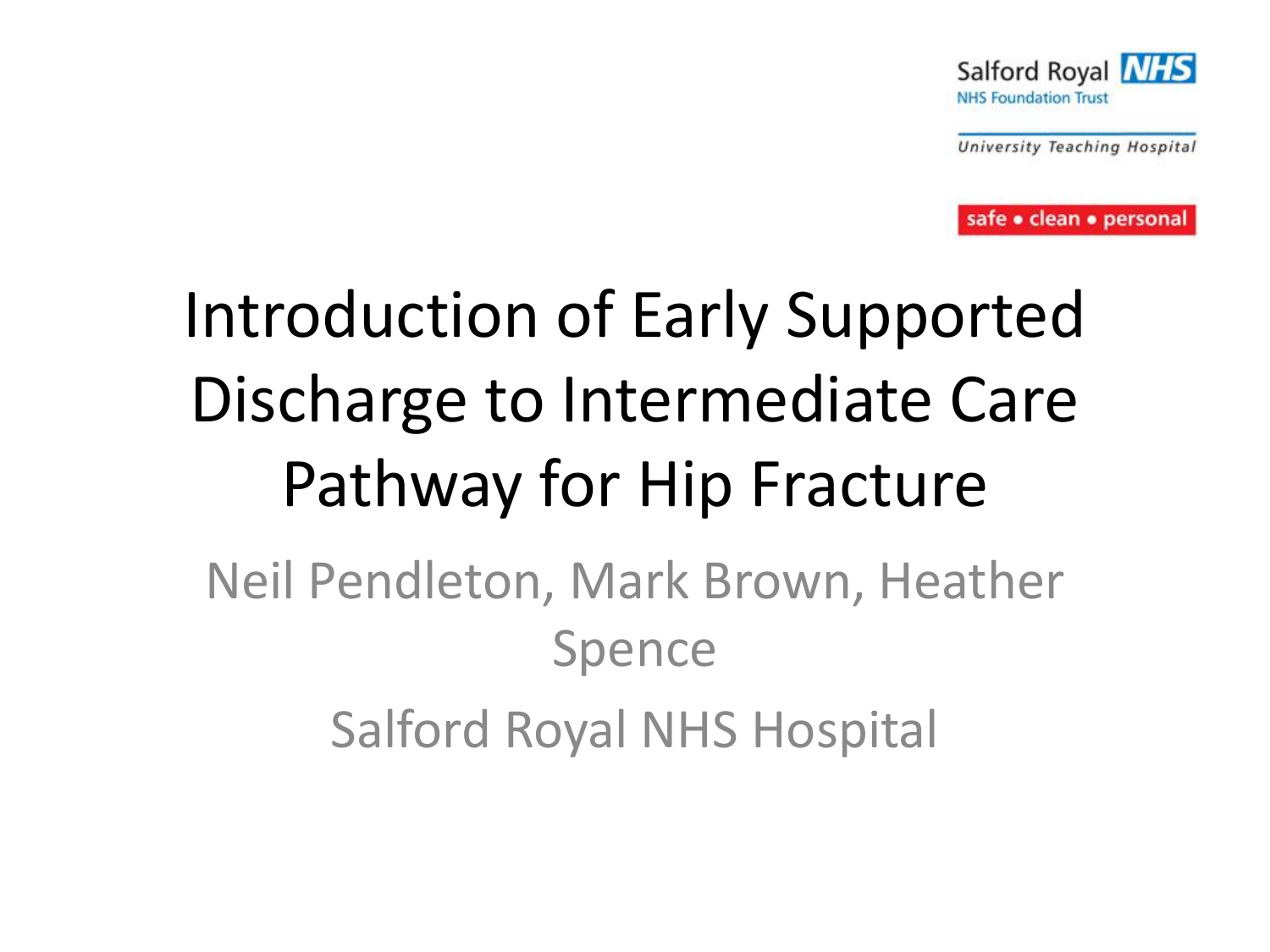

University Teaching Hospital

safe · clean · personal

# Introduction of Early Supported Discharge to Intermediate Care Pathway for Hip Fracture

#### Neil Pendleton, Mark Brown, Heather Spence Salford Royal NHS Hospital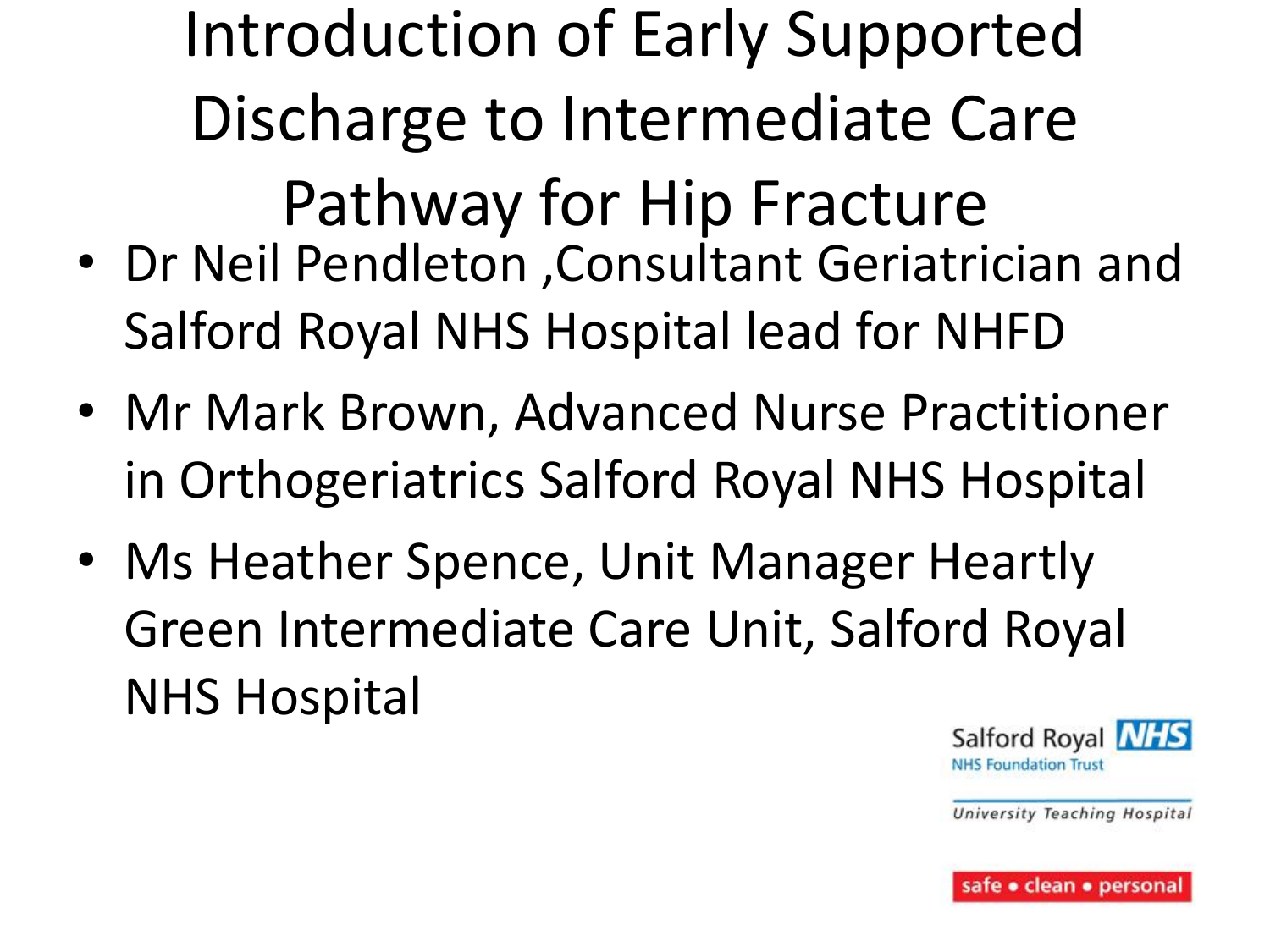Introduction of Early Supported Discharge to Intermediate Care Pathway for Hip Fracture

- Dr Neil Pendleton ,Consultant Geriatrician and Salford Royal NHS Hospital lead for NHFD
- Mr Mark Brown, Advanced Nurse Practitioner in Orthogeriatrics Salford Royal NHS Hospital
- Ms Heather Spence, Unit Manager Heartly Green Intermediate Care Unit, Salford Royal NHS Hospital

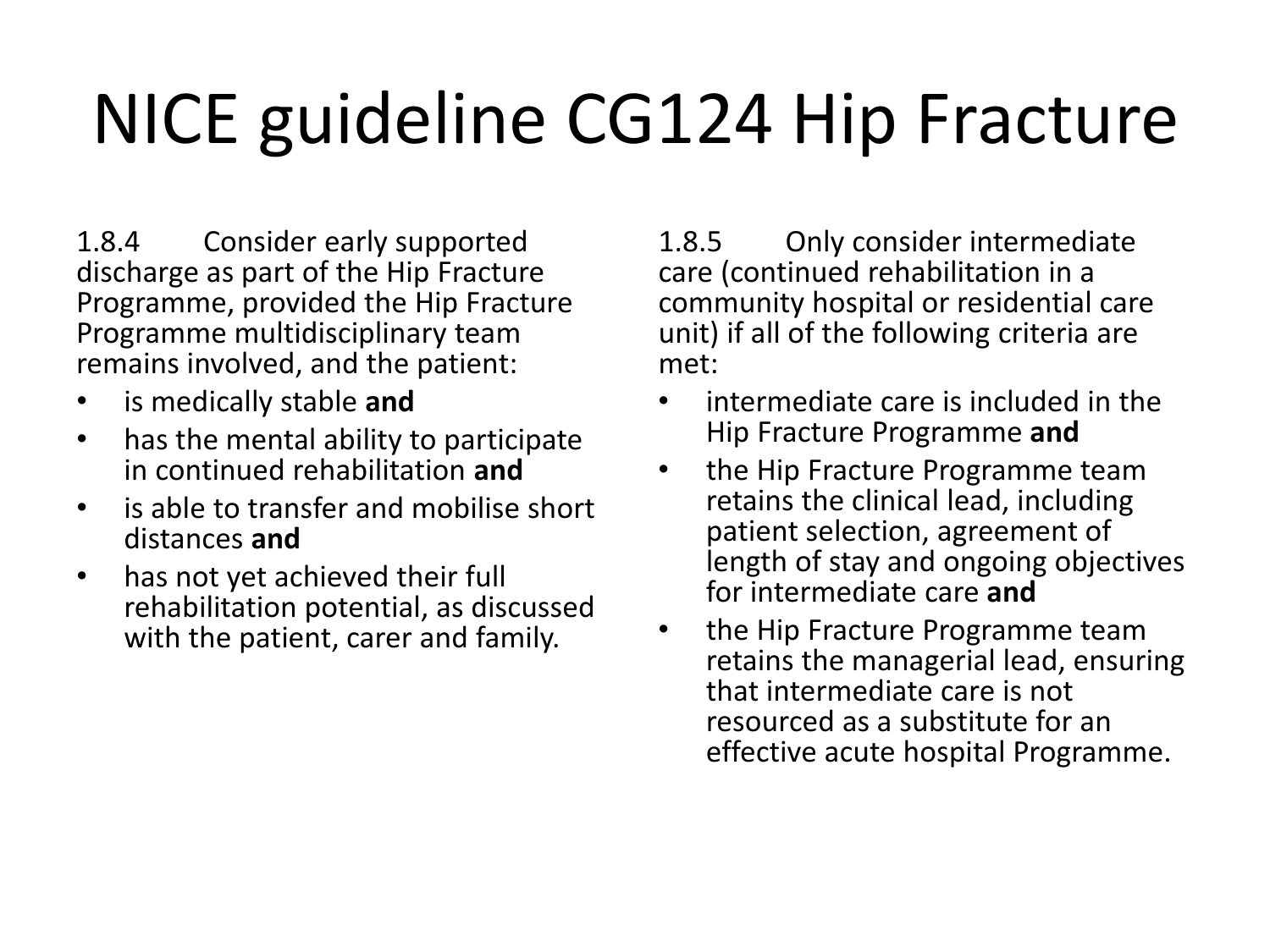# NICE guideline CG124 Hip Fracture

1.8.4 Consider early supported discharge as part of the Hip Fracture Programme, provided the Hip Fracture Programme multidisciplinary team remains involved, and the patient:

- is medically stable **and**
- has the mental ability to participate in continued rehabilitation **and**
- is able to transfer and mobilise short distances **and**
- has not yet achieved their full rehabilitation potential, as discussed with the patient, carer and family.

1.8.5 Only consider intermediate care (continued rehabilitation in a community hospital or residential care unit) if all of the following criteria are met:

- intermediate care is included in the Hip Fracture Programme **and**
- the Hip Fracture Programme team retains the clinical lead, including patient selection, agreement of length of stay and ongoing objectives for intermediate care **and**
- the Hip Fracture Programme team retains the managerial lead, ensuring that intermediate care is not resourced as a substitute for an effective acute hospital Programme.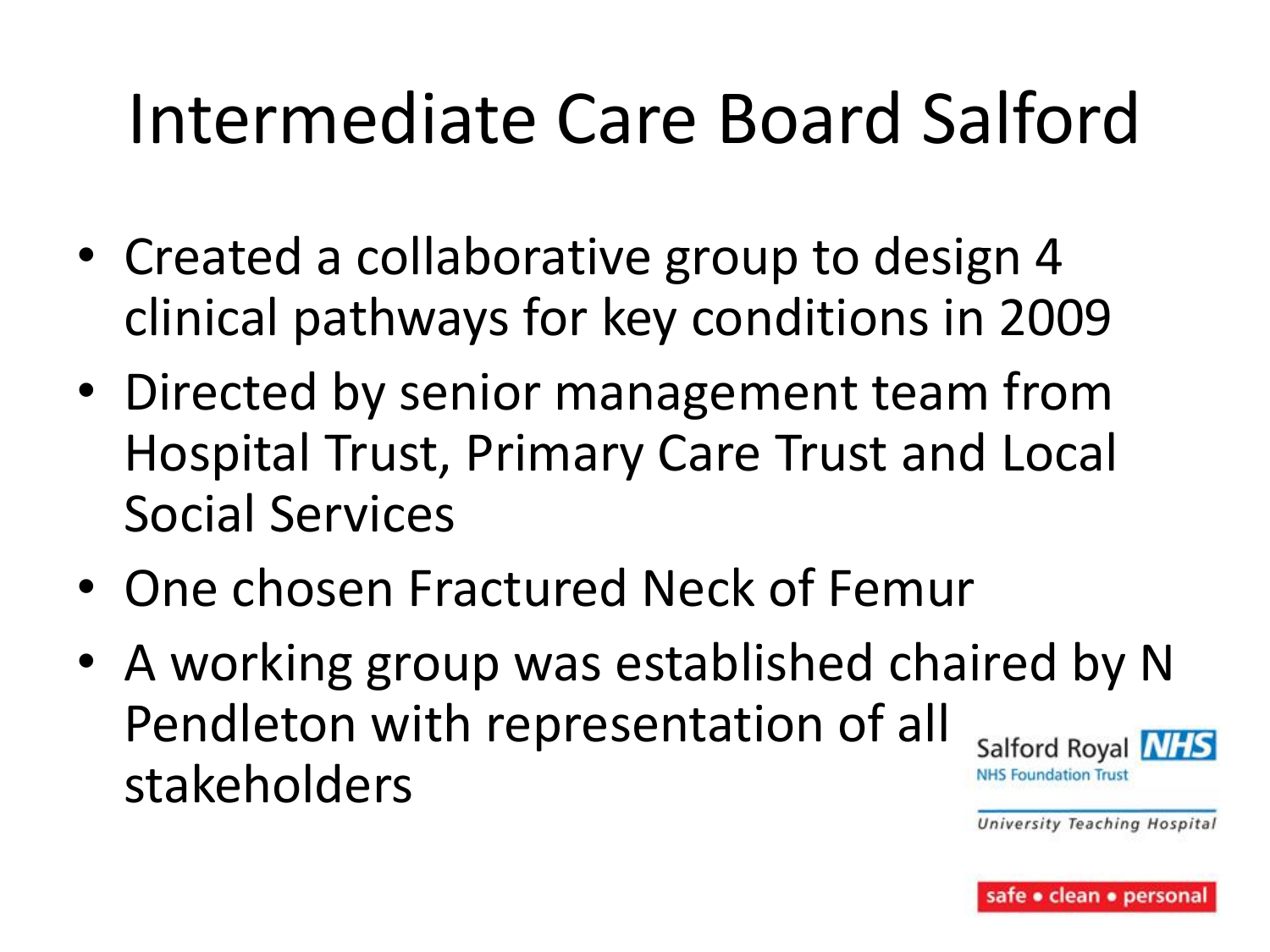## Intermediate Care Board Salford

- Created a collaborative group to design 4 clinical pathways for key conditions in 2009
- Directed by senior management team from Hospital Trust, Primary Care Trust and Local Social Services
- One chosen Fractured Neck of Femur
- A working group was established chaired by N Pendleton with representation of all Salford Royal **NHS** stakeholders**NHS Foundation Trust** University Teaching Hospital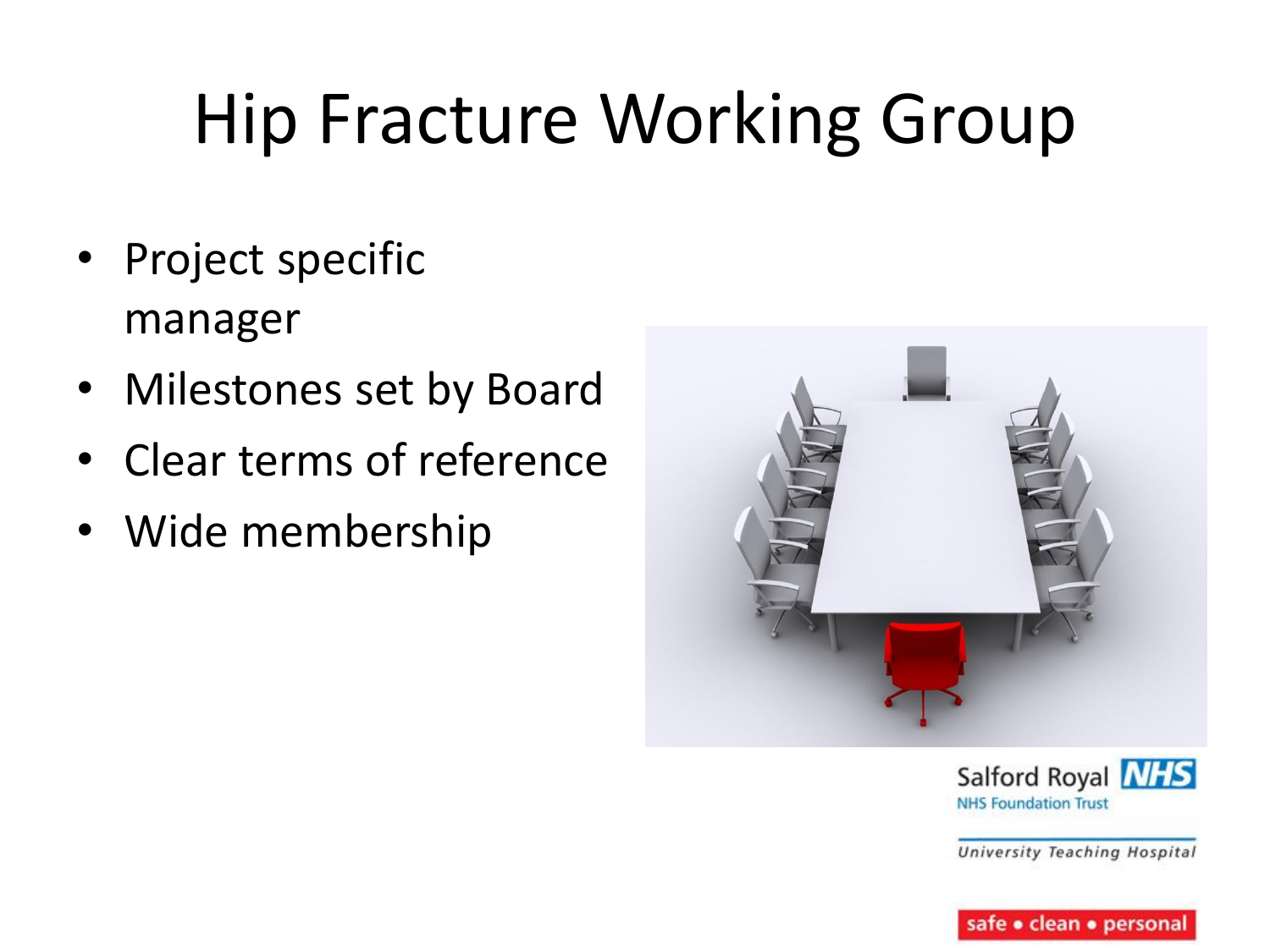# Hip Fracture Working Group

- Project specific manager
- Milestones set by Board
- Clear terms of reference
- Wide membership



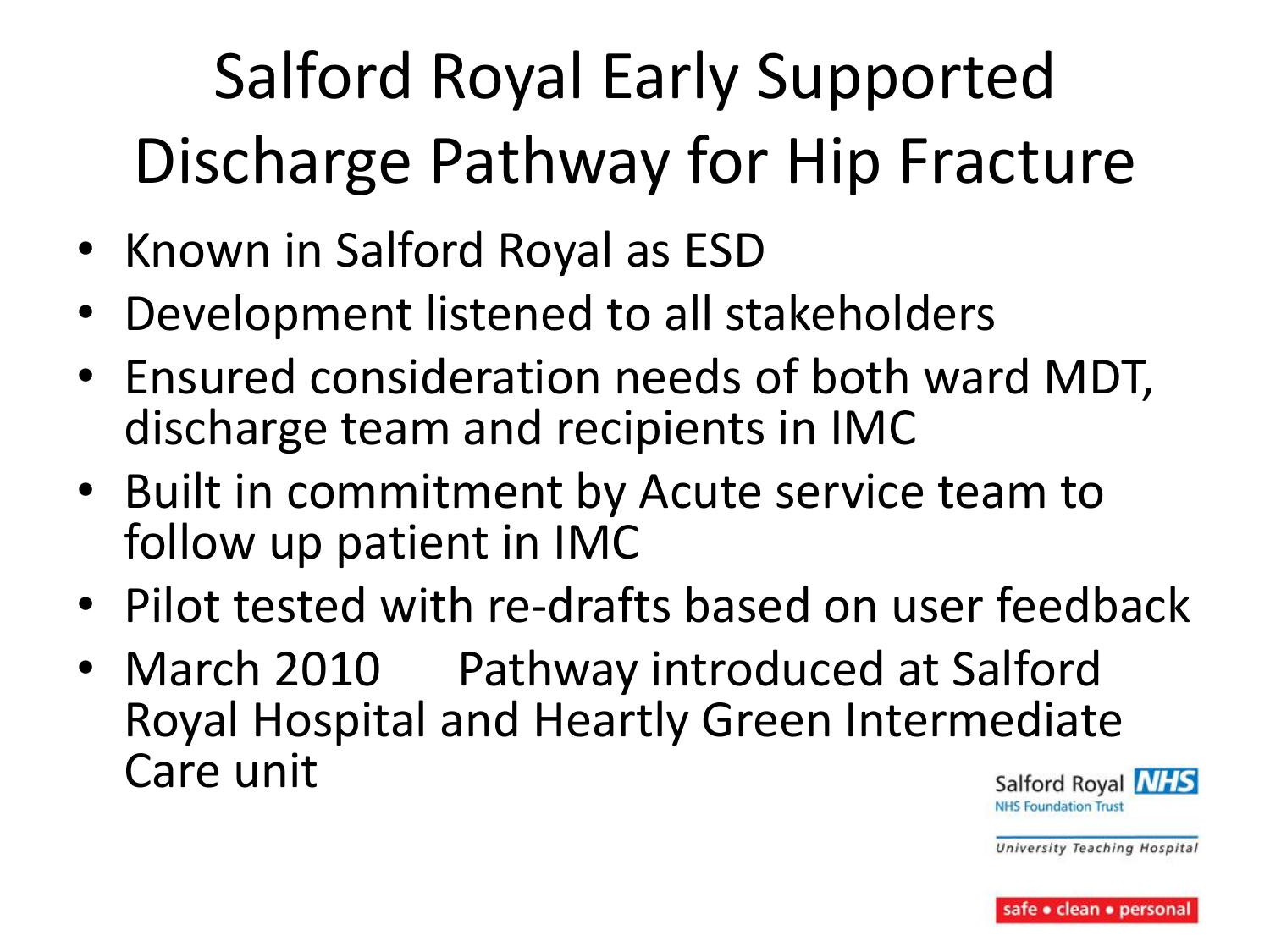# Salford Royal Early Supported Discharge Pathway for Hip Fracture

- Known in Salford Royal as ESD
- Development listened to all stakeholders
- Ensured consideration needs of both ward MDT, discharge team and recipients in IMC
- Built in commitment by Acute service team to follow up patient in IMC
- Pilot tested with re-drafts based on user feedback
- March 2010 Pathway introduced at Salford Royal Hospital and Heartly Green Intermediate Care unit

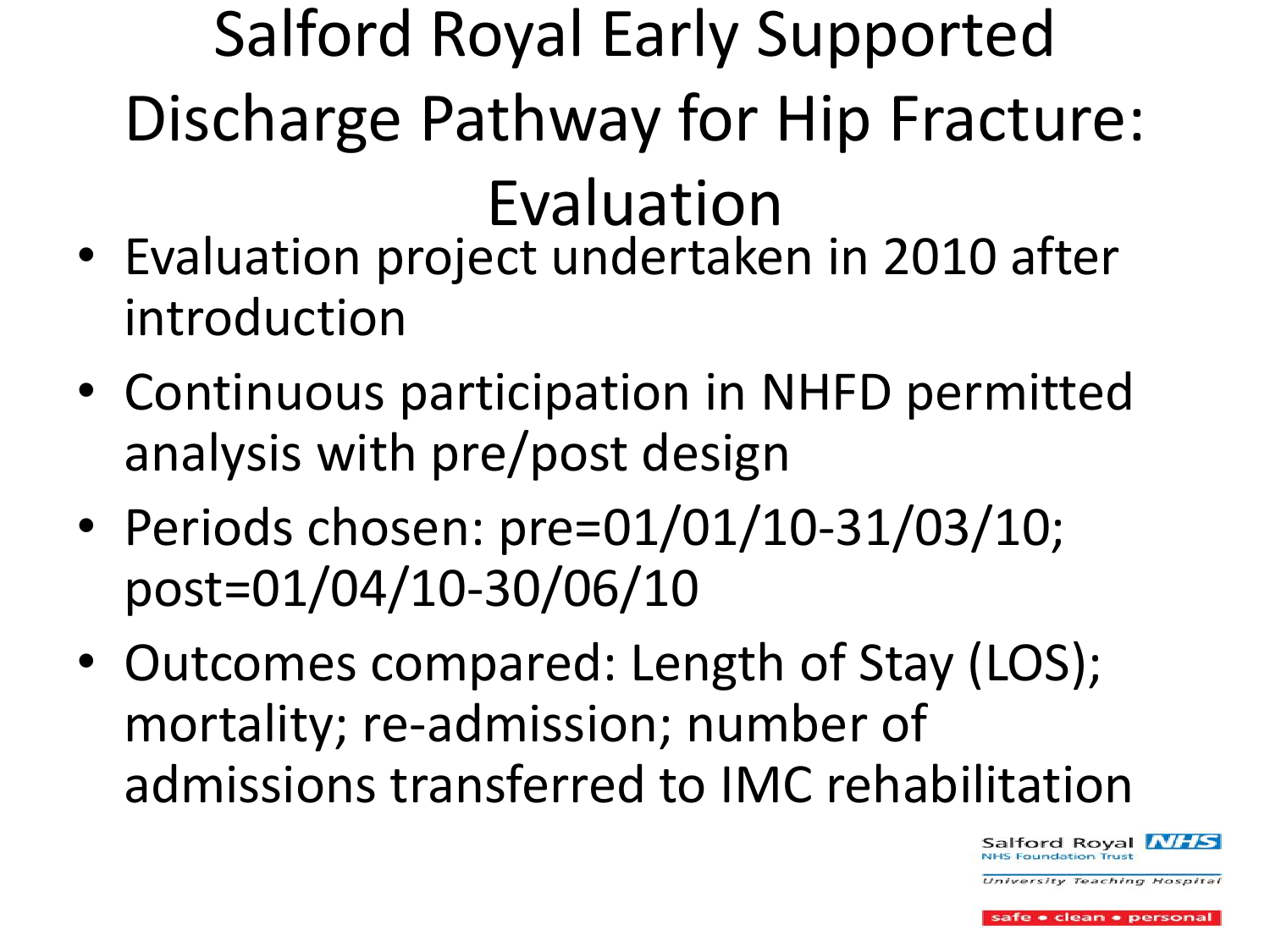### Salford Royal Early Supported Discharge Pathway for Hip Fracture: Evaluation

- Evaluation project undertaken in 2010 after introduction
- Continuous participation in NHFD permitted analysis with pre/post design
- Periods chosen: pre=01/01/10-31/03/10; post=01/04/10-30/06/10
- Outcomes compared: Length of Stay (LOS); mortality; re-admission; number of admissions transferred to IMC rehabilitation



**Iniversity Teaching Hospital** 

e • clean • personal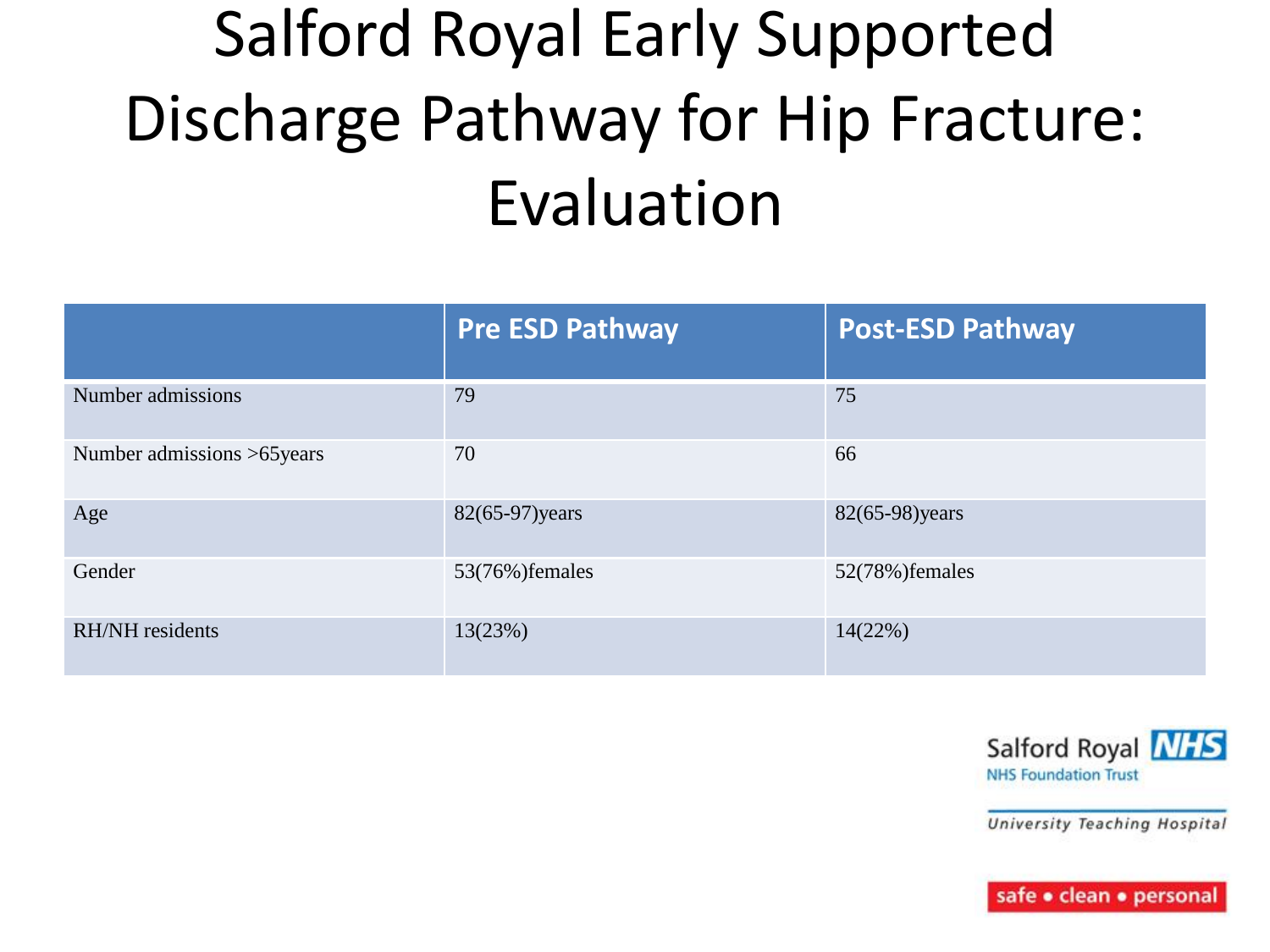### Salford Royal Early Supported Discharge Pathway for Hip Fracture: Evaluation

|                            | <b>Pre ESD Pathway</b> | <b>Post-ESD Pathway</b> |
|----------------------------|------------------------|-------------------------|
| Number admissions          | 79                     | 75                      |
| Number admissions >65years | 70                     | 66                      |
| Age                        | 82(65-97) years        | 82(65-98) years         |
| Gender                     | 53(76%) females        | 52(78%) females         |
| <b>RH/NH</b> residents     | 13(23%)                | 14(22%)                 |



University Teaching Hospital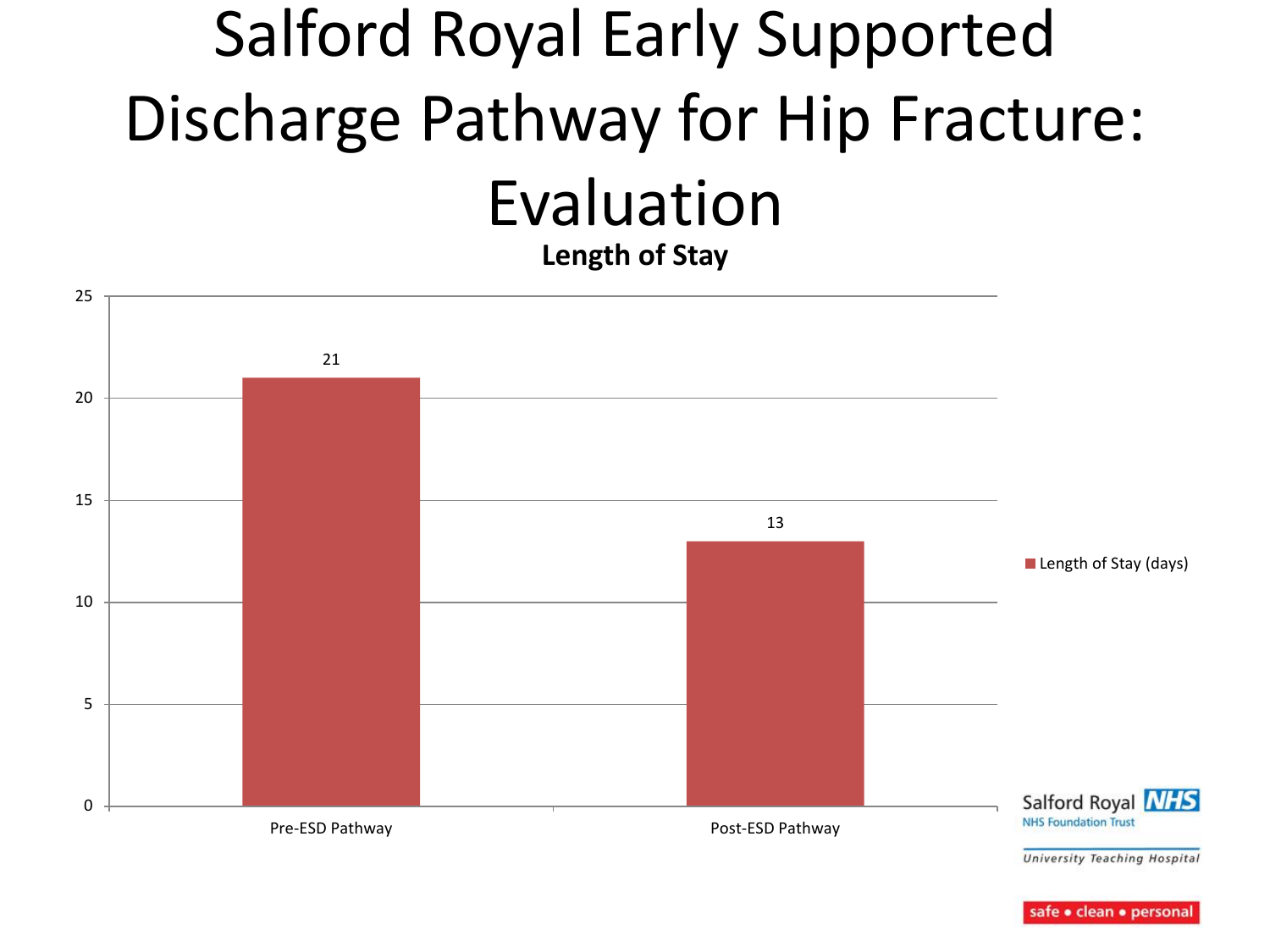#### Salford Royal Early Supported Discharge Pathway for Hip Fracture: Evaluation **Length of Stay**

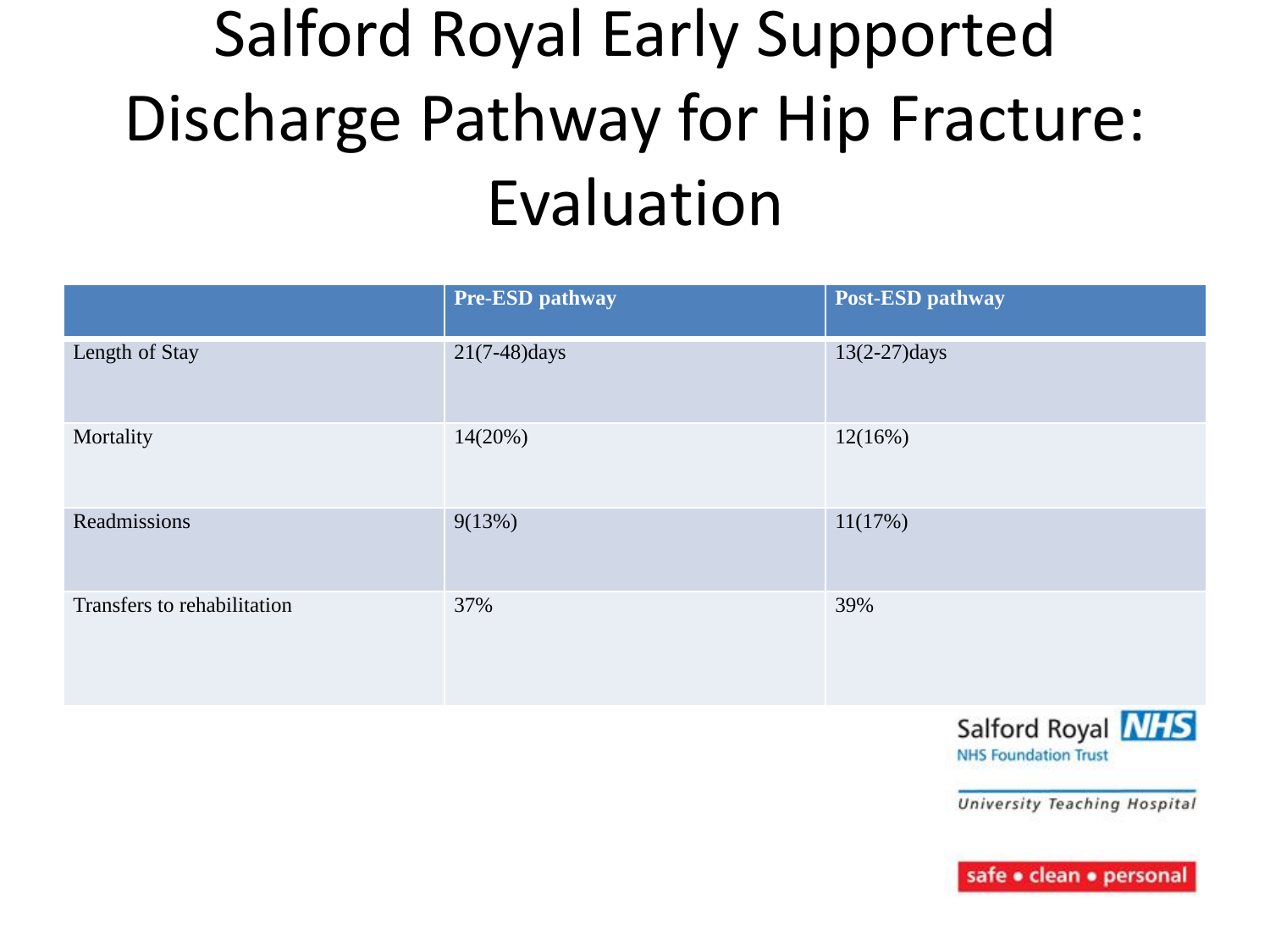#### Salford Royal Early Supported Discharge Pathway for Hip Fracture: Evaluation

|                             | Pre-ESD pathway | Post-ESD pathway |
|-----------------------------|-----------------|------------------|
| Length of Stay              | $21(7-48)$ days | $13(2-27)$ days  |
| Mortality                   | 14(20%)         | 12(16%)          |
| Readmissions                | 9(13%)          | 11(17%)          |
| Transfers to rehabilitation | 37%             | 39%              |



University Teaching Hospital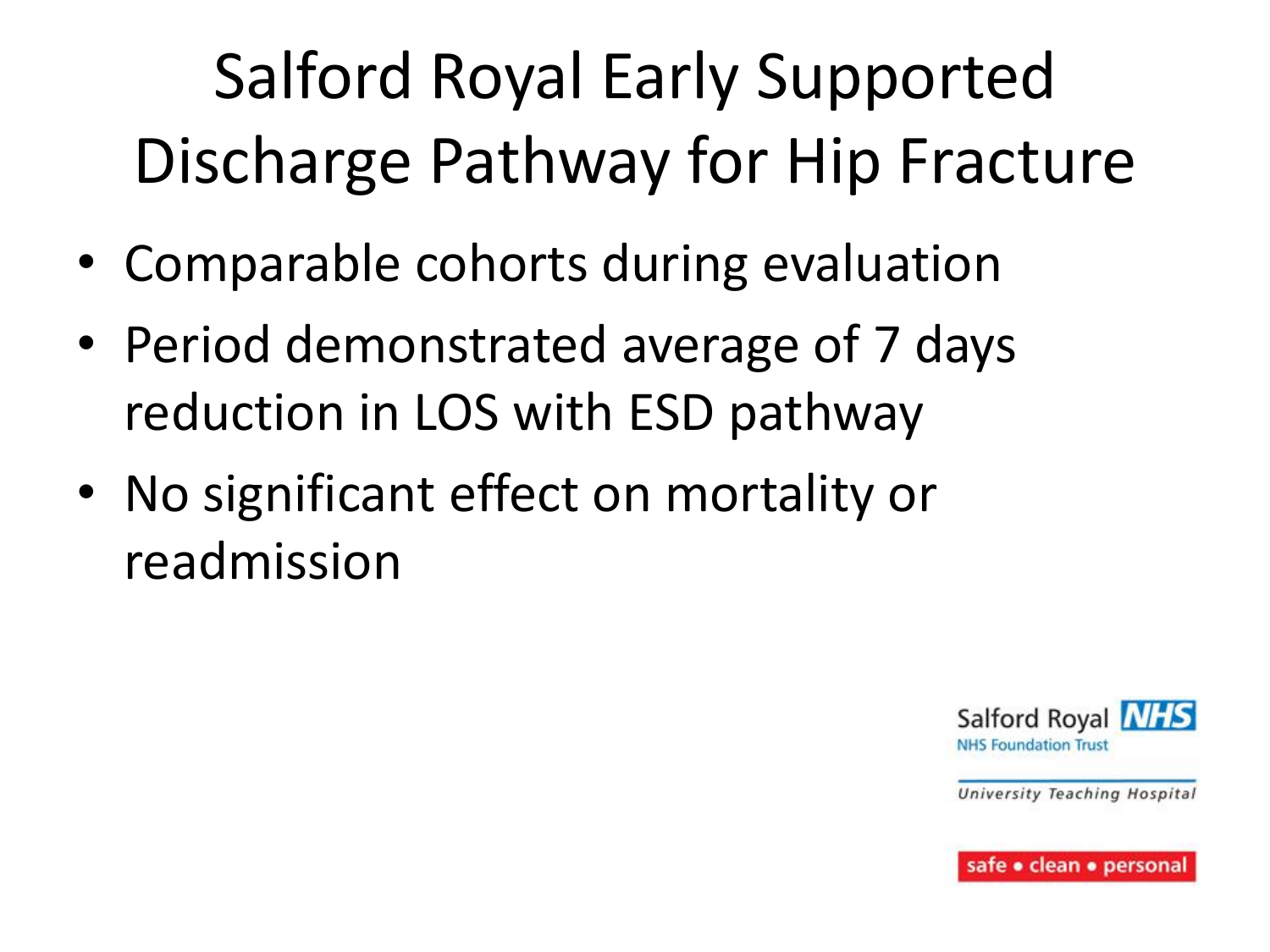# Salford Royal Early Supported Discharge Pathway for Hip Fracture

- Comparable cohorts during evaluation
- Period demonstrated average of 7 days reduction in LOS with ESD pathway
- No significant effect on mortality or readmission